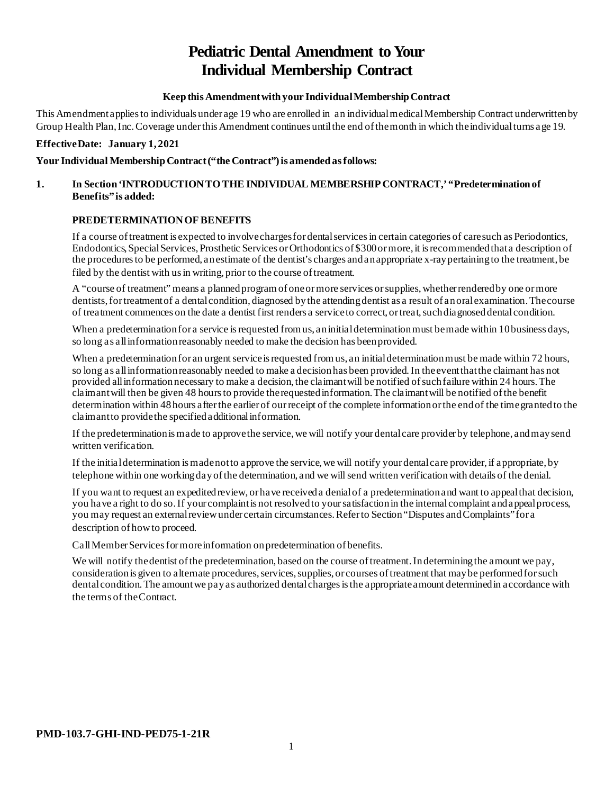# **Pediatric Dental Amendment to Your Individual Membership Contract**

## **Keep this Amendment with your Individual Membership Contract**

This Amendment applies to individuals under age 19 who are enrolled in an individual medical Membership Contract underwritten by Group Health Plan, Inc. Coverage under this Amendment continues until the end of the month in which the individual turns age 19.

## **Effective Date: January 1, 2021**

## Your Individual Membership Contract ("the Contract") is amended as follows:

## **1. In Section 'INTRODUCTION TO THE INDIVIDUAL MEMBERSHIP CONTRACT,' "Predetermination of Benefits" is added:**

## **PREDETERMINATION OF BENEFITS**

If a course of treatment is expected to involve charges for dental services in certain categories of care such as Periodontics, Endodontics, Special Services, Prosthetic Services or Orthodontics of \$300 or more, it is recommended that a description of the procedures to be performed, an estimate of the dentist's charges and an appropriate x-ray pertaining to the treatment, be filed by the dentist with us in writing, prior to the course of treatment.

A "course of treatment" means a planned program of one or more services or supplies, whether rendered by one or more dentists, for treatment of a dental condition, diagnosed by the attending dentist as a result of an oral examination. The course of treatment commences on the date a dentist first renders a service to correct, or treat, such diagnosed dental condition.

When a predetermination for a service is requested from us, an initial determination must be made within 10 business days, so long as all information reasonably needed to make the decision has been provided.

When a predetermination for an urgent service is requested from us, an initial determination must be made within 72 hours, so long as all information reasonably needed to make a decision has been provided. In the event that the claimant has not provided all information necessary to make a decision, the claimant will be notified of such failure within 24 hours. The claimant will then be given 48 hours to provide the requested information. The claimant will be notified of the benefit determination within 48 hours after the earlier of our receipt of the complete informationor the end of the time granted to the claimant to provide the specified additional information.

If the predetermination is made to approve the service, we will notify your dental care provider by telephone, and may send written verification.

If the initial determination is made not to approve the service, we will notify your dental care provider, if appropriate, by telephone within one working day of the determination, and we will send written verification with details of the denial.

If you want to request an expedited review, or have received a denial of a predetermination and want to appeal that decision, you have a right to do so. If your complaint is not resolved to your satisfaction in the internal complaint and appeal process, you may request an external review under certain circumstances. Refer to Section "Disputes and Complaints" for a description of how to proceed.

Call Member Services for more information on predetermination of benefits.

We will notify the dentist of the predetermination, based on the course of treatment. In determining the amount we pay, consideration is given to alternate procedures, services, supplies, or courses of treatment that may be performed for such dental condition. The amount we pay as authorized dental charges is the appropriate amount determined in accordance with the terms of theContract.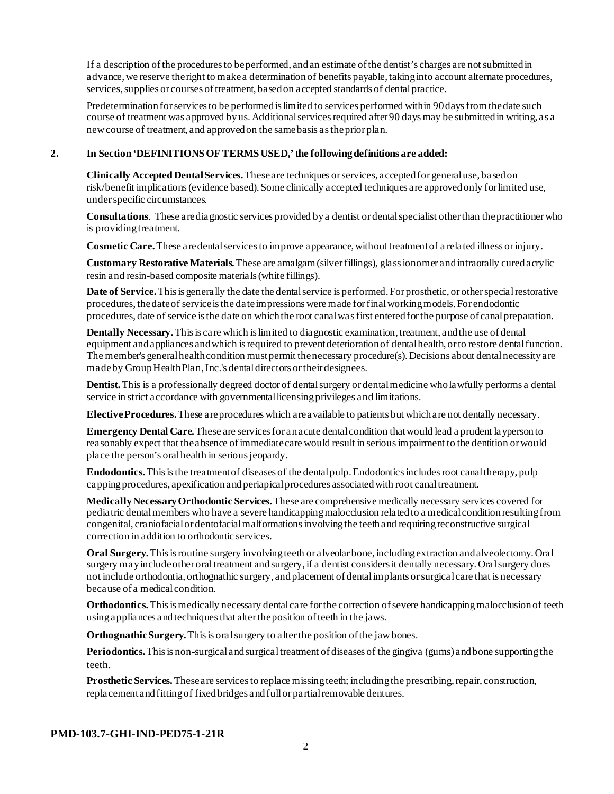If a description of the procedures to be performed, and an estimate of the dentist's charges are not submitted in advance, we reserve the right to make a determination of benefits payable, taking into account alternate procedures, services, supplies or courses of treatment, based on accepted standards of dental practice.

Predetermination for services to be performed is limited to services performed within 90 days from the date such course of treatment was approved by us. Additional services required after 90 days may be submitted in writing, as a new course of treatment, and approved on the same basis as the prior plan.

#### **2. In Section 'DEFINITIONS OF TERMS USED,' the following definitions are added:**

**Clinically Accepted Dental Services.** These are techniques or services, accepted for general use, based on risk/benefit implications (evidence based). Some clinically accepted techniques are approved only for limited use, under specific circumstances.

**Consultations**. These are diagnostic services provided by a dentist or dental specialist other than the practitioner who is providing treatment.

**Cosmetic Care.**These are dental services to improve appearance, without treatment of a related illness or injury.

**Customary Restorative Materials.** These are amalgam (silver fillings), glass ionomer and intraorally cured acrylic resin and resin-based composite materials (white fillings).

**Date of Service.** This is generally the date the dental service is performed. For prosthetic, or other special restorative procedures, the date of service is the date impressions were made for final working models. For endodontic procedures, date of service is the date on which the root canal was first entered for the purpose of canal preparation.

**Dentally Necessary.**This is care which is limited to diagnostic examination, treatment, and the use of dental equipment and appliances and which is required to prevent deterioration of dental health, or to restore dental function. The member's general health condition must permit the necessary procedure(s). Decisions about dental necessity are made by Group HealthPlan, Inc.'s dental directors or their designees.

**Dentist.**This is a professionally degreed doctor of dental surgery or dental medicine who lawfully performs a dental service in strict accordance with governmental licensing privileges and limitations.

**Elective Procedures.**These are procedures which are available to patients but which are not dentally necessary.

**Emergency Dental Care.** These are services for an acute dental condition that would lead a prudent layperson to reasonably expect that the absence of immediate care would result in serious impairment to the dentition or would place the person's oral health in serious jeopardy.

**Endodontics.**This is the treatment of diseases of the dental pulp. Endodontics includes root canal therapy, pulp capping procedures, apexification and periapical procedures associated with root canal treatment.

**Medically Necessary Orthodontic Services.**These are comprehensive medically necessary services covered for pediatric dental members who have a severe handicapping malocclusion related to a medical condition resulting from congenital, craniofacial or dentofacial malformations involving the teeth and requiring reconstructive surgical correction in addition to orthodontic services.

**Oral Surgery.** This is routine surgery involving teeth or alveolar bone, including extraction and alveolectomy. Oral surgery may include other oral treatment and surgery, if a dentist considers it dentally necessary. Oral surgery does not include orthodontia, orthognathic surgery, and placement of dental implants or surgical care that is necessary because of a medical condition.

**Orthodontics.** This is medically necessary dental care for the correction of severe handicapping malocclusion of teeth using appliances and techniques that alter the position of teeth in the jaws.

**Orthognathic Surgery.** This is oral surgery to alter the position of the jaw bones.

**Periodontics.** This is non-surgical and surgical treatment of diseases of the gingiva (gums) and bone supporting the teeth.

**Prosthetic Services.**These are services to replace missing teeth; including the prescribing, repair, construction, replacement and fitting of fixed bridges and full or partial removable dentures.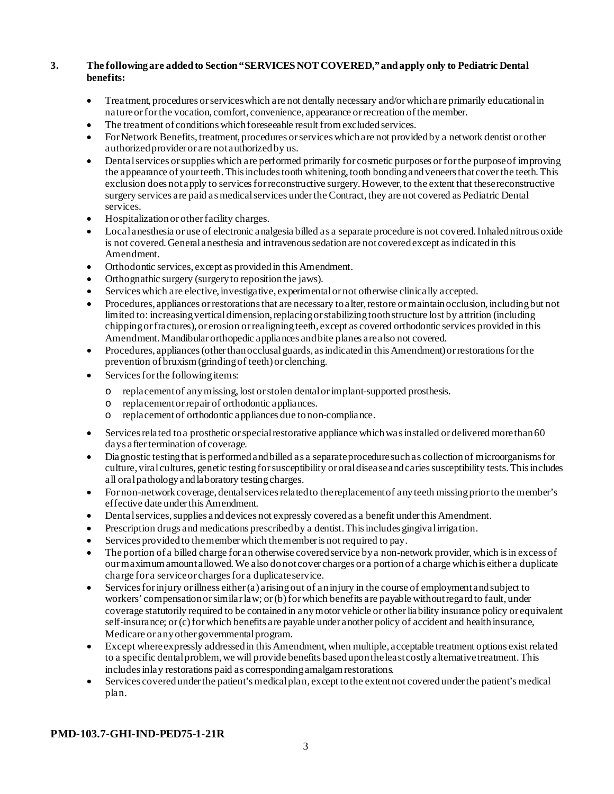## **3. The following are added to Section "SERVICES NOT COVERED," and apply only to Pediatric Dental benefits:**

- Treatment, procedures or services which are not dentally necessary and/or which are primarily educational in nature or for the vocation, comfort, convenience, appearance or recreation of the member.
- The treatment of conditions which foreseeable result from excluded services.
- For Network Benefits, treatment, procedures or services which are not provided by a network dentist or other authorized provider or are not authorized by us.
- Dental services or supplies which are performed primarily for cosmetic purposes or for the purpose of improving the appearance of your teeth. This includes tooth whitening, tooth bonding and veneers that cover the teeth. This exclusion does not apply to services for reconstructive surgery. However, to the extent that these reconstructive surgery services are paid as medical services under the Contract, they are not covered as Pediatric Dental services.
- Hospitalization or other facility charges.
- Local anesthesia or use of electronic analgesia billed as a separate procedure is not covered. Inhaled nitrous oxide is not covered. General anesthesia and intravenous sedation are not covered except as indicated in this Amendment.
- Orthodontic services, except as provided in this Amendment.
- Orthognathic surgery (surgery to reposition the jaws).
- Services which are elective, investigative, experimental or not otherwise clinically accepted.
- Procedures, appliances or restorations that are necessary to alter, restore or maintain occlusion, including but not limited to: increasing vertical dimension, replacing or stabilizing tooth structure lost by attrition (including chipping or fractures), or erosion or realigning teeth, except as covered orthodontic services provided in this Amendment. Mandibular orthopedic appliances and bite planes are also not covered.
- Procedures, appliances (other than occlusal guards, as indicated in this Amendment)or restorations for the prevention of bruxism (grinding of teeth) or clenching.
- Services for the following items:
	- o replacement of any missing, lost or stolen dental or implant-supported prosthesis.
	- o replacement or repair of orthodontic appliances.
	- o replacement of orthodontic appliances due to non-compliance.
- Services related to a prosthetic orspecial restorative appliance which was installed or delivered more than 60 days after termination of coverage.
- Diagnostic testing that is performed and billed as a separate procedure such as collection of microorganisms for culture, viral cultures, genetic testing for susceptibility or oral disease and caries susceptibility tests. This includes all oral pathology and laboratory testing charges.
- For non-network coverage, dental services related to the replacement of any teeth missing prior to the member's effective date under this Amendment.
- Dental services, supplies and devices not expressly covered as a benefit under this Amendment.
- Prescription drugs and medications prescribed by a dentist. This includes gingival irrigation.
- Services provided to the member which the member is not required to pay.
- The portion of a billed charge for an otherwise covered service by a non-network provider, which is in excess of our maximum amount allowed. We also do not cover charges or a portion of a charge which is either a duplicate charge for a service or charges for a duplicate service.
- Services for injury or illness either (a) arising out of an injury in the course of employment and subject to workers' compensation or similar law; or (b) for which benefits are payable without regard to fault, under coverage statutorily required to be contained in any motor vehicle or other liability insurance policy or equivalent self-insurance; or (c) for which benefits are payable under another policy of accident and health insurance, Medicare or any other governmental program.
- Except where expressly addressed in this Amendment, when multiple, acceptable treatment options exist related to a specific dental problem, we will provide benefits based upon the least costly alternative treatment. This includes inlay restorations paid as corresponding amalgam restorations.
- Services covered under the patient's medical plan, except to the extent not covered under the patient's medical plan.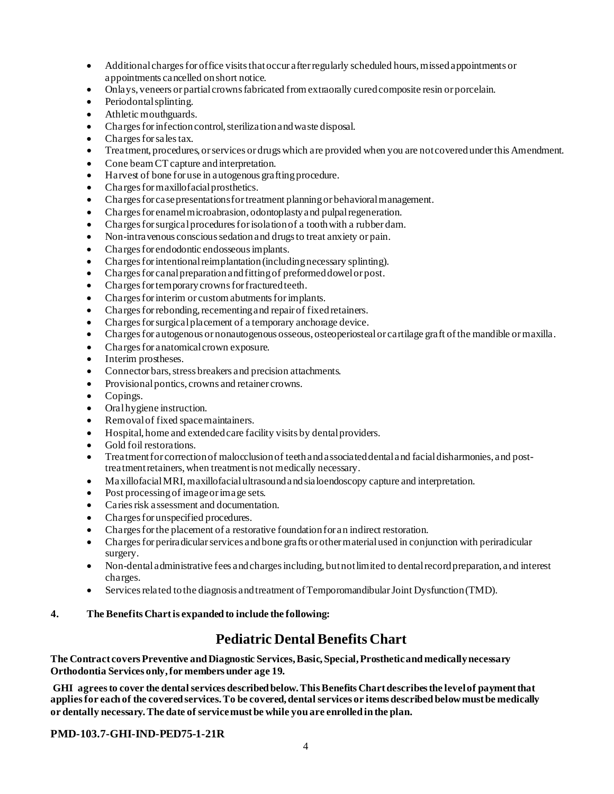- Additional charges for office visits that occur after regularly scheduled hours, missed appointments or appointments cancelled on short notice.
- Onlays, veneers or partial crowns fabricated from extraorally cured composite resin or porcelain.
- Periodontal splinting.
- Athletic mouthguards.
- Charges for infection control, sterilization and waste disposal.
- Charges for sales tax.
- Treatment, procedures, or services or drugs which are provided when you are not covered under this Amendment.
- Cone beam CT capture and interpretation.
- Harvest of bone for use in autogenous grafting procedure.
- Charges for maxillofacial prosthetics.
- Charges for case presentations for treatment planning or behavioral management.
- Charges for enamel microabrasion, odontoplasty and pulpal regeneration.
- Charges for surgical procedures for isolation of a tooth with a rubber dam.
- Non-intravenous conscious sedation and drugs to treat anxiety or pain.
- Charges for endodontic endosseous implants.
- Charges for intentional reimplantation (including necessary splinting).
- Charges for canal preparation and fitting of preformed dowel or post.
- Charges for temporary crowns for fractured teeth.
- Charges for interim or custom abutments for implants.
- Charges for rebonding, recementing and repair of fixed retainers.
- Charges for surgical placement of a temporary anchorage device.
- Charges for autogenous or nonautogenous osseous, osteoperiosteal or cartilage graft of the mandible or maxilla.
- Charges for anatomical crown exposure.
- Interim prostheses.
- Connector bars, stress breakers and precision attachments.
- Provisional pontics, crowns and retainer crowns.
- Copings.
- Oral hygiene instruction.
- Removal of fixed space maintainers.
- Hospital, home and extended care facility visits by dental providers.
- Gold foil restorations.
- Treatment for correction of malocclusion of teeth and associated dental and facial disharmonies, and posttreatment retainers, when treatment is not medically necessary.
- Maxillofacial MRI, maxillofacial ultrasound and sialoendoscopy capture and interpretation.
- Post processing of image or image sets.
- Caries risk assessment and documentation.
- Charges for unspecified procedures.
- Charges for the placement of a restorative foundation for an indirect restoration.
- Charges for periradicular services and bone grafts or other material used in conjunction with periradicular surgery.
- Non-dental administrative fees and charges including, but not limited to dental record preparation, and interest charges.
- Services related to the diagnosis and treatment of Temporomandibular Joint Dysfunction (TMD).

## **4. The Benefits Chart is expanded to include the following:**

## **Pediatric Dental Benefits Chart**

**The Contract covers Preventive and Diagnostic Services, Basic, Special, Prosthetic and medically necessary Orthodontia Services only, for members under age 19.**

**GHI agrees to cover the dental services described below. This Benefits Chart describes the level of payment that applies for each of the covered services. To be covered, dental services or items described below must be medically or dentally necessary. The date of service must be while you are enrolled in the plan.**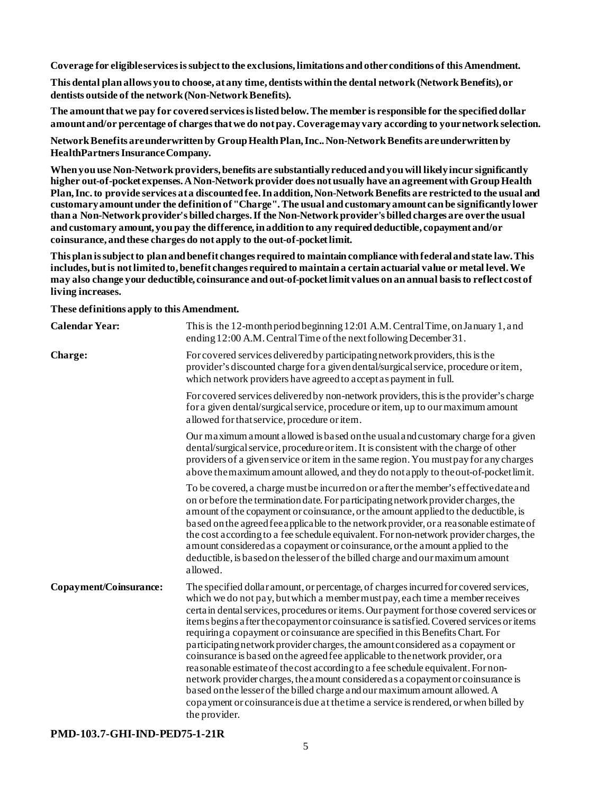**Coverage for eligible services is subject to the exclusions, limitations and other conditions of this Amendment.**

**This dental plan allows you to choose, at any time, dentists within the dental network (Network Benefits), or dentists outside of the network (Non-Network Benefits).**

**The amount that we pay for covered services is listed below. The member is responsible for the specified dollar amount and/or percentage of charges that we do not pay. Coverage may vary according to your network selection.**

**Network Benefits are underwritten by Group Health Plan, Inc.. Non-Network Benefits are underwritten by HealthPartners Insurance Company.**

**When you use Non-Network providers, benefits are substantially reduced and you will likely incur significantly higher out-of-pocket expenses. A Non-Network provider does not usually have an agreement with Group Health Plan, Inc.to provide services at a discounted fee. In addition, Non-Network Benefits are restricted to the usual and customary amount under the definition of "Charge". The usual and customary amount can be significantly lower than a Non-Network provider's billed charges. If the Non-Network provider's billed charges are over the usual and customary amount, you pay the difference, in addition to any required deductible, copayment and/or coinsurance, and these charges do not apply to the out-of-pocket limit.**

**This plan is subject to plan and benefit changes required to maintain compliance with federal and state law. This includes, but is not limited to, benefit changes required to maintain a certain actuarial value or metal level. We may also change your deductible, coinsurance and out-of-pocket limit values on an annual basis to reflect cost of living increases.**

**These definitions apply to this Amendment.**

| <b>Calendar Year:</b>  | This is the 12-month period beginning 12:01 A.M. Central Time, on January 1, and<br>ending 12:00 A.M. Central Time of the next following December 31.                                                                                                                                                                                                                                                                                                                                                                                                                                                                                                                                                                                                                                                                                                                                                                                                                                 |
|------------------------|---------------------------------------------------------------------------------------------------------------------------------------------------------------------------------------------------------------------------------------------------------------------------------------------------------------------------------------------------------------------------------------------------------------------------------------------------------------------------------------------------------------------------------------------------------------------------------------------------------------------------------------------------------------------------------------------------------------------------------------------------------------------------------------------------------------------------------------------------------------------------------------------------------------------------------------------------------------------------------------|
| <b>Charge:</b>         | For covered services delivered by participating network providers, this is the<br>provider's discounted charge for a given dental/surgical service, procedure or item,<br>which network providers have agreed to accept as payment in full.                                                                                                                                                                                                                                                                                                                                                                                                                                                                                                                                                                                                                                                                                                                                           |
|                        | For covered services delivered by non-network providers, this is the provider's charge<br>for a given dental/surgical service, procedure or item, up to our maximum amount<br>allowed for that service, procedure or item.                                                                                                                                                                                                                                                                                                                                                                                                                                                                                                                                                                                                                                                                                                                                                            |
|                        | Our maximum amount allowed is based on the usual and customary charge for a given<br>dental/surgical service, procedure or item. It is consistent with the charge of other<br>providers of a given service or item in the same region. You must pay for any charges<br>above the maximum amount allowed, and they do not apply to the out-of-pocket limit.                                                                                                                                                                                                                                                                                                                                                                                                                                                                                                                                                                                                                            |
|                        | To be covered, a charge must be incurred on or a fter the member's effective date and<br>on or before the termination date. For participating network provider charges, the<br>a mount of the copayment or coinsurance, or the amount applied to the deductible, is<br>based on the agreed fee applicable to the network provider, or a reasonable estimate of<br>the cost according to a fee schedule equivalent. For non-network provider charges, the<br>a mount considered as a copayment or coinsurance, or the amount applied to the<br>deductible, is based on the lesser of the billed charge and our maximum amount<br>allowed.                                                                                                                                                                                                                                                                                                                                              |
| Copayment/Coinsurance: | The specified dollar amount, or percentage, of charges incurred for covered services,<br>which we do not pay, but which a member must pay, each time a member receives<br>certain dental services, procedures or items. Our payment for those covered services or<br>items begins a fter the copayment or coinsurance is satisfied. Covered services or items<br>requiring a copayment or coinsurance are specified in this Benefits Chart. For<br>participating network provider charges, the amount considered as a copayment or<br>coinsurance is based on the agreed fee applicable to the network provider, or a<br>reasonable estimate of the cost according to a fee schedule equivalent. For non-<br>network provider charges, the amount considered as a copayment or coinsurance is<br>based on the lesser of the billed charge and our maximum amount allowed. A<br>copa yment or coinsurance is due at the time a service is rendered, or when billed by<br>the provider. |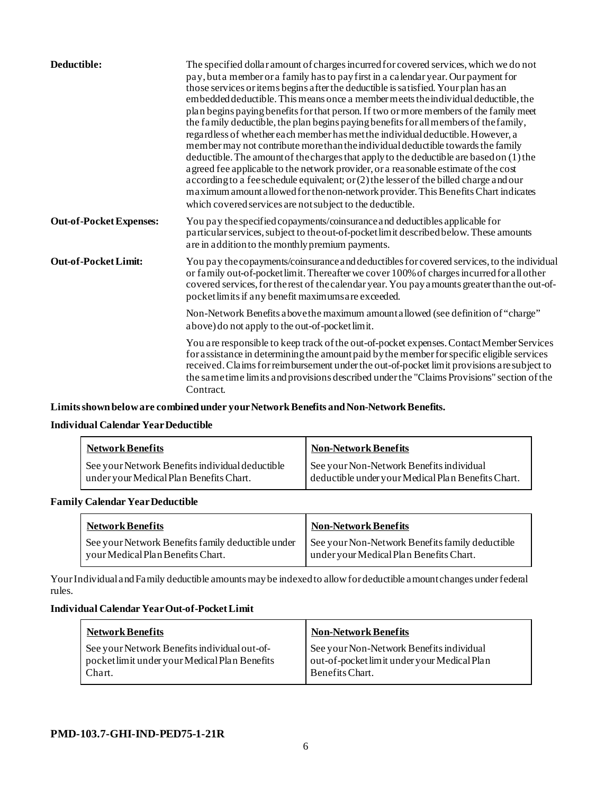| Deductible:                    | The specified dollar amount of charges incurred for covered services, which we do not<br>pay, but a member or a family has to pay first in a calendar year. Our payment for<br>those services or items begins a fter the deductible is satisfied. Your plan has an<br>embedded deductible. This means once a member meets the individual deductible, the<br>plan begins paying benefits for that person. If two or more members of the family meet<br>the family deductible, the plan begins paying benefits for all members of the family,<br>regardless of whether each member has met the individual deductible. However, a<br>member may not contribute more than the individual deductible towards the family<br>deductible. The amount of the charges that apply to the deductible are based on (1) the<br>a greed fee applicable to the network provider, or a reasonable estimate of the cost<br>according to a fee schedule equivalent; or (2) the lesser of the billed charge and our<br>maximum amount a llowed for the non-network provider. This Benefits Chart indicates<br>which covered services are not subject to the deductible. |
|--------------------------------|-----------------------------------------------------------------------------------------------------------------------------------------------------------------------------------------------------------------------------------------------------------------------------------------------------------------------------------------------------------------------------------------------------------------------------------------------------------------------------------------------------------------------------------------------------------------------------------------------------------------------------------------------------------------------------------------------------------------------------------------------------------------------------------------------------------------------------------------------------------------------------------------------------------------------------------------------------------------------------------------------------------------------------------------------------------------------------------------------------------------------------------------------------|
| <b>Out-of-Pocket Expenses:</b> | You pay the specified copayments/coinsurance and deductibles applicable for<br>particular services, subject to the out-of-pocket limit described below. These amounts<br>are in addition to the monthly premium payments.                                                                                                                                                                                                                                                                                                                                                                                                                                                                                                                                                                                                                                                                                                                                                                                                                                                                                                                           |
| <b>Out-of-Pocket Limit:</b>    | You pay the copayments/coinsurance and deductibles for covered services, to the individual<br>or family out-of-pocket limit. Thereafter we cover 100% of charges incurred for all other<br>covered services, for the rest of the calendar year. You pay a mounts greater than the out-of-<br>pocket limits if any benefit maximums are exceeded.                                                                                                                                                                                                                                                                                                                                                                                                                                                                                                                                                                                                                                                                                                                                                                                                    |
|                                | Non-Network Benefits a bove the maximum amount a llowed (see definition of "charge"<br>above) do not apply to the out-of-pocket limit.                                                                                                                                                                                                                                                                                                                                                                                                                                                                                                                                                                                                                                                                                                                                                                                                                                                                                                                                                                                                              |
|                                | You are responsible to keep track of the out-of-pocket expenses. Contact Member Services<br>for assistance in determining the amount paid by the member for specific eligible services<br>received. Claims for reimbursement under the out-of-pocket limit provisions are subject to<br>the same time limits and provisions described under the "Claims Provisions" section of the<br>Contract.                                                                                                                                                                                                                                                                                                                                                                                                                                                                                                                                                                                                                                                                                                                                                     |

**Limits shown below are combined under your Network Benefits and Non-Network Benefits.**

## **Individual Calendar Year Deductible**

| <b>Network Benefits</b>                                                                    | <b>Non-Network Benefits</b>                                                                    |
|--------------------------------------------------------------------------------------------|------------------------------------------------------------------------------------------------|
| See your Network Benefits individual deductible<br>under your Medical Plan Benefits Chart. | See your Non-Network Benefits individual<br>deductible under your Medical Plan Benefits Chart. |

## **Family Calendar Year Deductible**

| <b>Network Benefits</b>                           | <b>Non-Network Benefits</b>                     |
|---------------------------------------------------|-------------------------------------------------|
| See your Network Benefits family deductible under | See your Non-Network Benefits family deductible |
| your Medical Plan Benefits Chart.                 | under your Medical Plan Benefits Chart.         |

Your Individual and Family deductible amounts may be indexed to allow for deductible amount changes under federal rules.

#### **Individual Calendar Year Out-of-Pocket Limit**

| <b>Network Benefits</b>                                                                                 | <b>Non-Network Benefits</b>                                                                                |
|---------------------------------------------------------------------------------------------------------|------------------------------------------------------------------------------------------------------------|
| See your Network Benefits individual out-of-<br>pocket limit under your Medical Plan Benefits<br>Chart. | See your Non-Network Benefits individual<br>out-of-pocket limit under your Medical Plan<br>Benefits Chart. |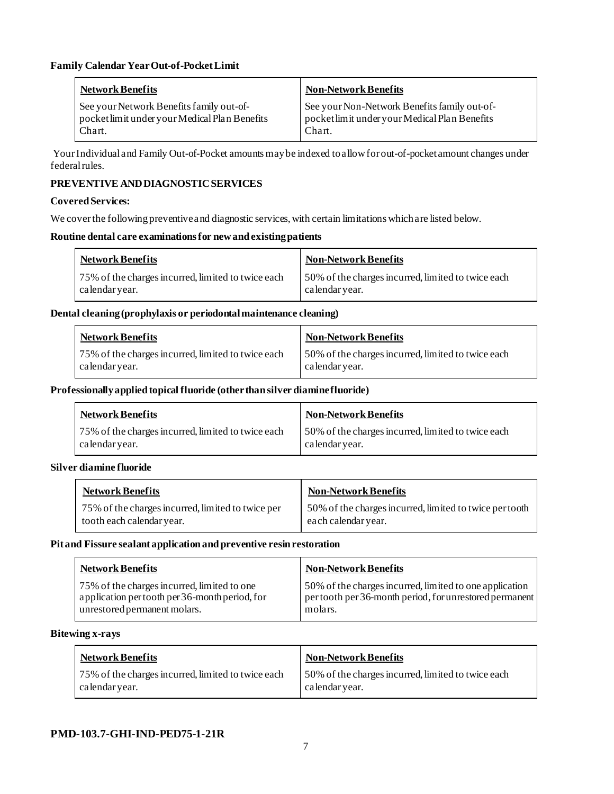| Network Benefits                              | <b>Non-Network Benefits</b>                   |
|-----------------------------------------------|-----------------------------------------------|
| See your Network Benefits family out-of-      | See your Non-Network Benefits family out-of-  |
| pocket limit under your Medical Plan Benefits | pocket limit under your Medical Plan Benefits |
| Chart.                                        | Chart.                                        |

Your Individual and Family Out-of-Pocket amounts may be indexed to allow for out-of-pocket amount changes under federal rules.

## **PREVENTIVE AND DIAGNOSTICSERVICES**

### **Covered Services:**

We cover the following preventive and diagnostic services, with certain limitations which are listed below.

## **Routine dental care examinations for new and existing patients**

|               | <b>Network Benefits</b>                            | <b>Non-Network Benefits</b>                                          |
|---------------|----------------------------------------------------|----------------------------------------------------------------------|
| calendaryear. | 75% of the charges incurred, limited to twice each | 50% of the charges incurred, limited to twice each<br>calendar year. |

### **Dental cleaning (prophylaxis or periodontal maintenance cleaning)**

| <b>Network Benefits</b>                                              | <b>Non-Network Benefits</b>                                          |
|----------------------------------------------------------------------|----------------------------------------------------------------------|
| 75% of the charges incurred, limited to twice each<br>calendar year. | 50% of the charges incurred, limited to twice each<br>calendar year. |

### **Professionally applied topical fluoride (other than silver diamine fluoride)**

| Network Benefits                                                     | <b>Non-Network Benefits</b>                                          |
|----------------------------------------------------------------------|----------------------------------------------------------------------|
| 75% of the charges incurred, limited to twice each<br>calendar year. | 50% of the charges incurred, limited to twice each<br>calendar year. |

## **Silver diamine fluoride**

| <b>Network Benefits</b>                           | Non-Network Benefits                                    |
|---------------------------------------------------|---------------------------------------------------------|
| 75% of the charges incurred, limited to twice per | 50% of the charges incurred, limited to twice per tooth |
| tooth each calendar year.                         | each calendar year.                                     |

#### **Pit and Fissure sealant application and preventive resin restoration**

| <b>Network Benefits</b>                        | <b>Non-Network Benefits</b>                             |
|------------------------------------------------|---------------------------------------------------------|
| 75% of the charges incurred, limited to one    | 50% of the charges incurred, limited to one application |
| application per tooth per 36-month period, for | per tooth per 36-month period, for unrestored permanent |
| unrestored permanent molars.                   | molars.                                                 |

#### **Bitewing x-rays**

| <b>Network Benefits</b>                            | <b>Non-Network Benefits</b>                        |
|----------------------------------------------------|----------------------------------------------------|
| 75% of the charges incurred, limited to twice each | 50% of the charges incurred, limited to twice each |
| calendar year.                                     | calendar year.                                     |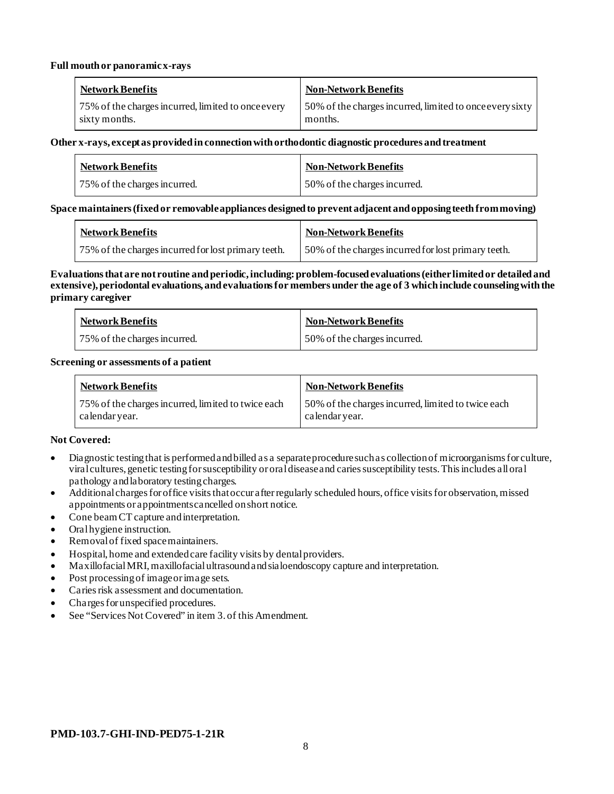#### **Full mouth or panoramic x-rays**

| Network Benefits                                   | <b>Non-Network Benefits</b>                              |
|----------------------------------------------------|----------------------------------------------------------|
| 75% of the charges incurred, limited to once every | 50% of the charges incurred, limited to once every sixty |
| sixty months.                                      | months.                                                  |

#### **Other x-rays, except as provided in connection with orthodontic diagnostic procedures and treatment**

| <b>Network Benefits</b>      | Non-Network Benefits         |
|------------------------------|------------------------------|
| 75% of the charges incurred. | 50% of the charges incurred. |

### **Space maintainers (fixed or removable appliances designed to prevent adjacent and opposing teeth from moving)**

| <b>Network Benefits</b>                             | Non-Network Benefits                                |
|-----------------------------------------------------|-----------------------------------------------------|
| 75% of the charges incurred for lost primary teeth. | 50% of the charges incurred for lost primary teeth. |

#### **Evaluations that are not routine and periodic, including: problem-focused evaluations (either limited or detailed and extensive), periodontal evaluations, and evaluations for members under the age of 3 which include counseling with the primary caregiver**

| <b>Network Benefits</b>      | Non-Network Benefits         |
|------------------------------|------------------------------|
| 75% of the charges incurred. | 50% of the charges incurred. |

#### **Screening or assessments of a patient**

| <b>Network Benefits</b>                                             | <b>Non-Network Benefits</b>                                          |
|---------------------------------------------------------------------|----------------------------------------------------------------------|
| 75% of the charges incurred, limited to twice each<br>calendaryear. | 50% of the charges incurred, limited to twice each<br>calendar year. |

## **Not Covered:**

- Diagnostic testing that is performed and billed as a separate procedure such as collection of microorganisms for culture, viral cultures, genetic testing for susceptibility or oral disease and caries susceptibility tests. This includes all oral pathology and laboratory testing charges.
- Additional charges for office visits that occur after regularly scheduled hours, office visits for observation, missed appointments or appointments cancelled on short notice.
- Cone beam CT capture and interpretation.
- Oral hygiene instruction.
- Removal of fixed space maintainers.
- Hospital, home and extendedcare facility visits by dental providers.
- Maxillofacial MRI, maxillofacial ultrasound and sialoendoscopy capture and interpretation.
- Post processing of image or image sets.
- Caries risk assessment and documentation.
- Charges for unspecified procedures.
- See "Services Not Covered" in item 3, of this Amendment.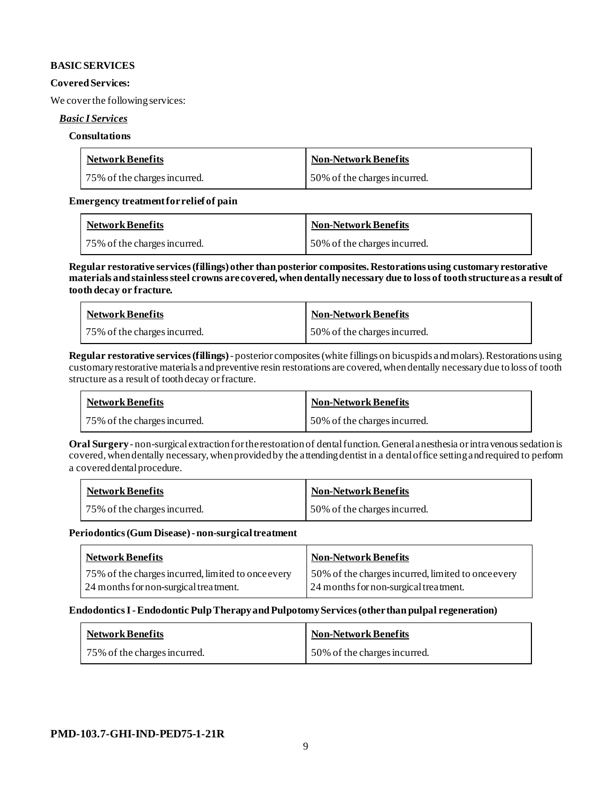### **BASIC SERVICES**

#### **Covered Services:**

We cover the following services:

## *Basic I Services*

#### **Consultations**

| <b>Network Benefits</b>      | <b>Non-Network Benefits</b>  |
|------------------------------|------------------------------|
| 75% of the charges incurred. | 50% of the charges incurred. |

## **Emergency treatment for relief of pain**

| <b>Network Benefits</b>      | <b>Non-Network Benefits</b>  |
|------------------------------|------------------------------|
| 75% of the charges incurred. | 50% of the charges incurred. |

**Regular restorative services (fillings) other than posterior composites. Restorations using customary restorative materials and stainless steel crowns are covered, when dentally necessary due to loss of tooth structure as a result of tooth decay or fracture.**

| <b>Network Benefits</b>      | <b>Non-Network Benefits</b>  |
|------------------------------|------------------------------|
| 75% of the charges incurred. | 50% of the charges incurred. |

**Regular restorative services (fillings)**- posterior composites (white fillings on bicuspids and molars).Restorations using customary restorative materials and preventive resin restorations are covered, when dentally necessary due to loss of tooth structure as a result of tooth decay or fracture.

| <b>Network Benefits</b>      | Non-Network Benefits         |
|------------------------------|------------------------------|
| 75% of the charges incurred. | 50% of the charges incurred. |

**Oral Surgery** - non-surgical extraction for the restoration of dental function.General anesthesia or intravenous sedation is covered, when dentally necessary, when provided by the attending dentist in a dental office setting and required to perform a covered dental procedure.

| <b>Network Benefits</b>      | Non-Network Benefits         |
|------------------------------|------------------------------|
| 75% of the charges incurred. | 50% of the charges incurred. |

**Periodontics (Gum Disease) -non-surgical treatment**

| <b>Network Benefits</b>                                                                     | <b>Non-Network Benefits</b>                                                                 |
|---------------------------------------------------------------------------------------------|---------------------------------------------------------------------------------------------|
| 75% of the charges incurred, limited to once every<br>24 months for non-surgical treatment. | 50% of the charges incurred, limited to once every<br>24 months for non-surgical treatment. |

#### **Endodontics I -Endodontic Pulp Therapy and Pulpotomy Services (other than pulpal regeneration)**

| <b>Network Benefits</b>      | Non-Network Benefits         |
|------------------------------|------------------------------|
| 75% of the charges incurred. | 50% of the charges incurred. |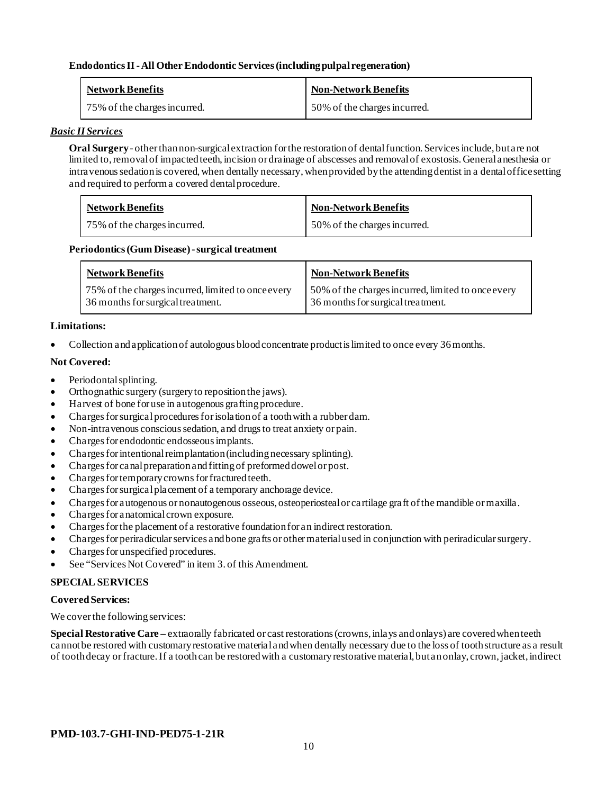## **Endodontics II -All Other Endodontic Services (including pulpal regeneration)**

| <b>Network Benefits</b>      | <b>Non-Network Benefits</b>  |
|------------------------------|------------------------------|
| 75% of the charges incurred. | 50% of the charges incurred. |

#### *Basic II Services*

**Oral Surgery** - other than non-surgical extraction for the restoration of dental function. Services include, but are not limited to, removal of impacted teeth, incision or drainage of abscesses and removal of exostosis. General anesthesia or intravenous sedation is covered, when dentally necessary, when provided by the attending dentist in a dental office setting and required to perform a covered dental procedure.

| <b>Network Benefits</b>      | <b>Non-Network Benefits</b>  |
|------------------------------|------------------------------|
| 75% of the charges incurred. | 50% of the charges incurred. |

### Periodontics (Gum Disease) - surgical treatment

| <b>Network Benefits</b>                            | <b>Non-Network Benefits</b>                        |
|----------------------------------------------------|----------------------------------------------------|
| 75% of the charges incurred, limited to once every | 50% of the charges incurred, limited to once every |
| 36 months for surgical treatment.                  | 36 months for surgical treatment.                  |

### **Limitations:**

• Collection and application of autologous blood concentrate product is limited to once every 36 months.

### **Not Covered:**

- Periodontal splinting.
- Orthognathic surgery (surgery to reposition the jaws).
- Harvest of bone for use in autogenous grafting procedure.
- Charges for surgical procedures for isolation of a tooth with a rubber dam.
- Non-intravenous conscious sedation, and drugs to treat anxiety or pain.
- Charges for endodontic endosseous implants.
- Charges for intentional reimplantation (including necessary splinting).
- Charges for canal preparation and fitting of preformed dowel or post.
- Charges for temporary crowns for fractured teeth.
- Charges for surgical placement of a temporary anchorage device.
- Charges for autogenous or nonautogenous osseous, osteoperiosteal or cartilage graft of the mandible or maxilla.
- Charges for anatomical crown exposure.
- Charges for the placement of a restorative foundation for an indirect restoration.
- Charges for periradicular services and bone grafts or other material used in conjunction with periradicular surgery.
- Charges for unspecified procedures.
- See "Services Not Covered" in item 3. of this Amendment.

## **SPECIAL SERVICES**

#### **Covered Services:**

We cover the following services:

**Special Restorative Care** – extraorally fabricated or cast restorations (crowns, inlays and onlays) are covered when teeth cannot be restored with customary restorative material and when dentally necessary due to the loss of tooth structure as a result of tooth decay or fracture. If a tooth can be restored with a customary restorative material, but an onlay, crown, jacket, indirect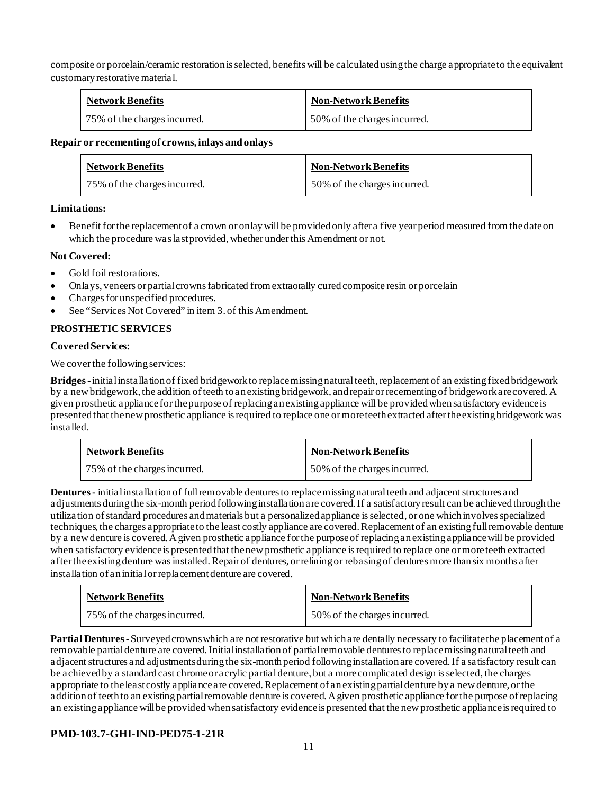composite or porcelain/ceramic restoration is selected, benefits will be calculated using the charge appropriate to the equivalent customary restorative material.

| <b>Network Benefits</b>      | <b>Non-Network Benefits</b>  |
|------------------------------|------------------------------|
| 75% of the charges incurred. | 50% of the charges incurred. |

### **Repair or recementing of crowns, inlays and onlays**

| <b>Network Benefits</b>      | <b>Non-Network Benefits</b>  |
|------------------------------|------------------------------|
| 75% of the charges incurred. | 50% of the charges incurred. |

## **Limitations:**

• Benefit for the replacement of a crown or onlay will be provided only after a five year period measured from the date on which the procedure was last provided, whether under this Amendment or not.

## **Not Covered:**

- Gold foil restorations.
- Onlays, veneers or partial crowns fabricated from extraorally cured composite resin or porcelain
- Charges for unspecified procedures.
- See "Services Not Covered" in item 3. of this Amendment.

## **PROSTHETIC SERVICES**

## **Covered Services:**

We cover the following services:

**Bridges** -initial installation of fixed bridgework to replace missing natural teeth, replacement of an existing fixed bridgework by a new bridgework, the addition of teeth to an existing bridgework, and repair or recementing of bridgework are covered. A given prosthetic appliance for the purpose of replacing an existing appliance will be provided when satisfactory evidence is presented that the new prosthetic appliance is required to replace one or more teeth extracted after the existing bridgework was installed.

| <b>Network Benefits</b>      | <b>Non-Network Benefits</b>  |
|------------------------------|------------------------------|
| 75% of the charges incurred. | 50% of the charges incurred. |

**Dentures -** initial installation of full removable dentures to replace missing natural teeth and adjacent structures and adjustments during the six-month period following installation are covered. If a satisfactory result can be achieved through the utilization of standard procedures and materials but a personalized appliance is selected, or one which involves specialized techniques, the charges appropriate to the least costly appliance are covered. Replacement of an existing full removable denture by a new denture is covered. A given prosthetic appliance for the purpose of replacing an existing appliance will be provided when satisfactory evidence is presented that the new prosthetic appliance is required to replace one or more teeth extracted after the existing denture was installed. Repair of dentures, or relining or rebasing of dentures more than six months after installation of an initial or replacement denture are covered.

| <b>Network Benefits</b>      | <b>Non-Network Benefits</b>  |
|------------------------------|------------------------------|
| 75% of the charges incurred. | 50% of the charges incurred. |

**Partial Dentures** -Surveyed crowns which are not restorative but which are dentally necessary to facilitate the placement of a removable partial denture are covered. Initial installation of partial removable dentures to replace missing natural teeth and adjacent structures and adjustments during the six-month period following installation are covered. If a satisfactory result can be achieved by a standard cast chrome or acrylic partial denture, but a more complicated design is selected, the charges appropriate to the least costly appliance are covered. Replacement of an existing partial denture by a new denture, or the addition of teeth to an existing partial removable denture is covered. A given prosthetic appliance for the purpose of replacing an existing appliance will be provided when satisfactory evidence is presented that the new prosthetic appliance is required to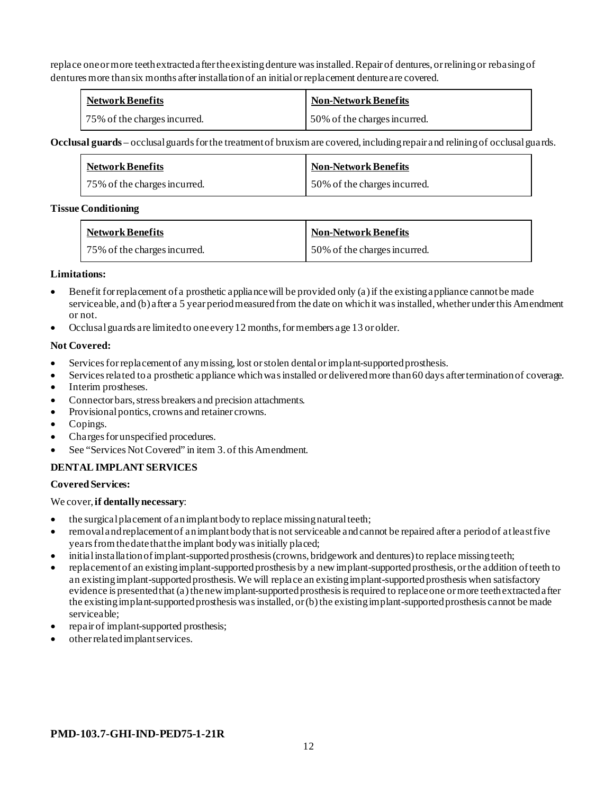replace one or more teeth extracted after the existing denture was installed. Repair of dentures, or relining or rebasing of dentures more than six months after installation of an initial or replacement denture are covered.

| <b>Network Benefits</b>      | <b>Non-Network Benefits</b>  |
|------------------------------|------------------------------|
| 75% of the charges incurred. | 50% of the charges incurred. |

**Occlusal guards** – occlusal guards for the treatment of bruxism are covered, including repair and relining of occlusal guards.

| <b>Network Benefits</b>      | <b>Non-Network Benefits</b>  |
|------------------------------|------------------------------|
| 75% of the charges incurred. | 50% of the charges incurred. |

### **Tissue Conditioning**

| <b>Network Benefits</b>      | <b>Non-Network Benefits</b>  |
|------------------------------|------------------------------|
| 75% of the charges incurred. | 50% of the charges incurred. |

### **Limitations:**

- Benefit for replacement of a prosthetic appliance will be provided only (a) if the existing appliance cannot be made serviceable, and (b) after a 5 year period measured from the date on which it was installed, whether under this Amendment or not.
- Occlusal guards are limited to one every 12 months, for members age 13 or older.

### **Not Covered:**

- Services for replacement of any missing, lost or stolen dental or implant-supported prosthesis.
- Services related to a prosthetic appliance which was installed or delivered more than 60 days after termination of coverage.
- Interim prostheses.
- Connector bars, stress breakers and precision attachments.
- Provisional pontics, crowns and retainer crowns.
- Copings.
- Charges for unspecified procedures.
- See "Services Not Covered" in item 3. of this Amendment.

## **DENTAL IMPLANT SERVICES**

## **Covered Services:**

We cover, **if dentally necessary**:

- the surgical placement of an implant body to replace missing natural teeth;
- removal and replacement of an implant body that is not serviceable and cannot be repaired after a period of at least five years from the date that the implant body was initially placed;
- initial installation of implant-supported prosthesis (crowns, bridgework and dentures) to replace missing teeth;
- replacement of an existing implant-supported prosthesis by a new implant-supported prosthesis, or the addition of teeth to an existing implant-supported prosthesis. We will replace an existing implant-supported prosthesis when satisfactory evidence is presented that (a) the new implant-supported prosthesis is required to replace one or more teeth extracted after the existing implant-supported prosthesis was installed, or (b) the existing implant-supported prosthesis cannot be made serviceable;
- repair of implant-supported prosthesis;
- other related implant services.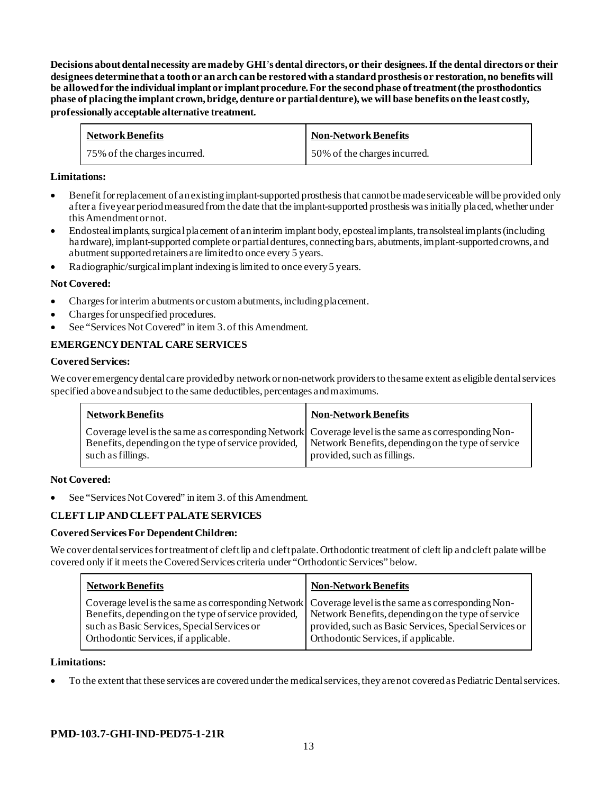**Decisions about dental necessity are made by GHI**'**s dental directors, or their designees. If the dental directors or their designees determinethat a tooth or an arch can be restored with a standard prosthesis or restoration, no benefits will be allowed for the individual implant or implant procedure. For the second phase of treatment (the prosthodontics phase of placing the implant crown, bridge, denture or partial denture), we will base benefits on the least costly, professionally acceptable alternative treatment.**

| <b>Network Benefits</b>      | <b>Non-Network Benefits</b>  |
|------------------------------|------------------------------|
| 75% of the charges incurred. | 50% of the charges incurred. |

## **Limitations:**

- Benefit for replacement of an existing implant-supported prosthesis that cannot be made serviceable will be provided only after a five year period measured from the date that the implant-supported prosthesis was initially placed, whether under this Amendment or not.
- Endosteal implants, surgical placement of an interim implant body, eposteal implants, transolsteal implants (including hardware), implant-supported complete or partial dentures, connecting bars, abutments, implant-supported crowns, and abutment supported retainers are limited to once every 5 years.
- Radiographic/surgical implant indexing is limited to once every 5 years.

### **Not Covered:**

- Charges for interim abutments or custom abutments, including placement.
- Charges for unspecified procedures.
- See "Services Not Covered" in item 3. of this Amendment.

## **EMERGENCY DENTAL CARE SERVICES**

#### **Covered Services:**

We cover emergency dental care provided by network or non-network providersto the same extent as eligible dental services specified above and subject to the same deductibles, percentages and maximums.

| <b>Network Benefits</b> | <b>Non-Network Benefits</b>                                                                                                                                                                                                                    |
|-------------------------|------------------------------------------------------------------------------------------------------------------------------------------------------------------------------------------------------------------------------------------------|
| such as fillings.       | Coverage level is the same as corresponding Network Coverage level is the same as corresponding Non-<br>Benefits, depending on the type of service provided, Network Benefits, depending on the type of service<br>provided, such as fillings. |

#### **Not Covered:**

See "Services Not Covered" in item 3. of this Amendment.

## **CLEFT LIP AND CLEFT PALATE SERVICES**

#### **Covered Services For Dependent Children:**

We cover dental services for treatment of cleft lip and cleft palate. Orthodontic treatment of cleft lip and cleft palate will be covered only if it meets the Covered Services criteria under "Orthodontic Services" below.

| <b>Network Benefits</b>                                                                                                                                                                                                                             | <b>Non-Network Benefits</b>                                                                                                                         |
|-----------------------------------------------------------------------------------------------------------------------------------------------------------------------------------------------------------------------------------------------------|-----------------------------------------------------------------------------------------------------------------------------------------------------|
| Coverage level is the same as corresponding Network Coverage level is the same as corresponding Non-<br>Benefits, depending on the type of service provided,<br>such as Basic Services, Special Services or<br>Orthodontic Services, if applicable. | Network Benefits, depending on the type of service<br>provided, such as Basic Services, Special Services or<br>Orthodontic Services, if applicable. |

#### **Limitations:**

• To the extent that these services are covered under the medical services, they are not covered as Pediatric Dental services.